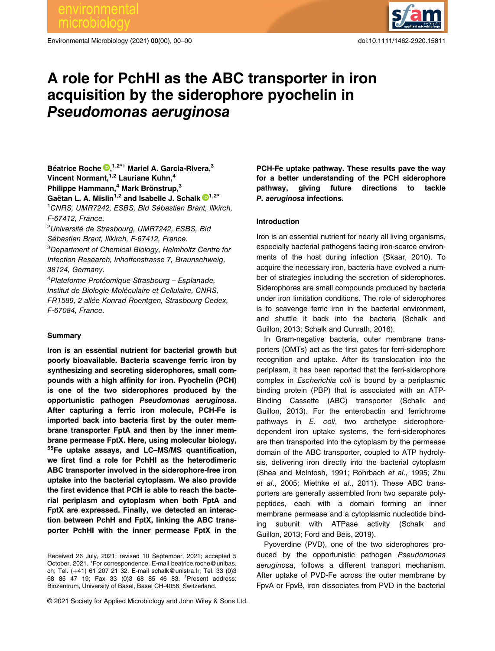environmental

Environmental Microbiology (2021) 00(00), 00–00 doi:10.1111/1462-2920.15811



# A role for PchHI as the ABC transporter in iron acquisition by the siderophore pyochelin in Pseudomonas aeruginosa

# Béatrice Roche D, 1,2\*† Mariel A. Garcia-Rivera,<sup>3</sup> Vincent Normant, <sup>1,2</sup> Lauriane Kuhn, <sup>4</sup> Philippe Hammann,<sup>4</sup> Mark Brönstrup,<sup>3</sup> Gaëtan L. A. Mislin<sup>1,2</sup> and Isabelle J. Schalk  $\mathbb{D}^{1,2*}$ <sup>1</sup>CNRS, UMR7242, ESBS, Bld Sébastien Brant, Illkirch, F-67412, France.

<sup>2</sup>Université de Strasbourg, UMR7242, ESBS, Bld Sébastien Brant, Illkirch, F-67412, France. 3 Department of Chemical Biology, Helmholtz Centre for

Infection Research, Inhoffenstrasse 7, Braunschweig, 38124, Germany.

4 Plateforme Protéomique Strasbourg – Esplanade, Institut de Biologie Moléculaire et Cellulaire, CNRS, FR1589, 2 allée Konrad Roentgen, Strasbourg Cedex, F-67084, France.

## Summary

Iron is an essential nutrient for bacterial growth but poorly bioavailable. Bacteria scavenge ferric iron by synthesizing and secreting siderophores, small compounds with a high affinity for iron. Pyochelin (PCH) is one of the two siderophores produced by the opportunistic pathogen Pseudomonas aeruginosa. After capturing a ferric iron molecule, PCH-Fe is imported back into bacteria first by the outer membrane transporter FptA and then by the inner membrane permease FptX. Here, using molecular biology, 55Fe uptake assays, and LC–MS/MS quantification, we first find a role for PchHI as the heterodimeric ABC transporter involved in the siderophore-free iron uptake into the bacterial cytoplasm. We also provide the first evidence that PCH is able to reach the bacterial periplasm and cytoplasm when both FptA and FptX are expressed. Finally, we detected an interaction between PchH and FptX, linking the ABC transporter PchHI with the inner permease FptX in the

© 2021 Society for Applied Microbiology and John Wiley & Sons Ltd.

PCH-Fe uptake pathway. These results pave the way for a better understanding of the PCH siderophore pathway, giving future directions to tackle P. aeruginosa infections.

## Introduction

Iron is an essential nutrient for nearly all living organisms, especially bacterial pathogens facing iron-scarce environments of the host during infection (Skaar, 2010). To acquire the necessary iron, bacteria have evolved a number of strategies including the secretion of siderophores. Siderophores are small compounds produced by bacteria under iron limitation conditions. The role of siderophores is to scavenge ferric iron in the bacterial environment, and shuttle it back into the bacteria (Schalk and Guillon, 2013; Schalk and Cunrath, 2016).

In Gram-negative bacteria, outer membrane transporters (OMTs) act as the first gates for ferri-siderophore recognition and uptake. After its translocation into the periplasm, it has been reported that the ferri-siderophore complex in Escherichia coli is bound by a periplasmic binding protein (PBP) that is associated with an ATP-Binding Cassette (ABC) transporter (Schalk and Guillon, 2013). For the enterobactin and ferrichrome pathways in E. coli, two archetype siderophoredependent iron uptake systems, the ferri-siderophores are then transported into the cytoplasm by the permease domain of the ABC transporter, coupled to ATP hydrolysis, delivering iron directly into the bacterial cytoplasm (Shea and McIntosh, 1991; Rohrbach et al., 1995; Zhu et al., 2005; Miethke et al., 2011). These ABC transporters are generally assembled from two separate polypeptides, each with a domain forming an inner membrane permease and a cytoplasmic nucleotide binding subunit with ATPase activity (Schalk and Guillon, 2013; Ford and Beis, 2019).

Pyoverdine (PVD), one of the two siderophores produced by the opportunistic pathogen Pseudomonas aeruginosa, follows a different transport mechanism. After uptake of PVD-Fe across the outer membrane by FpvA or FpvB, iron dissociates from PVD in the bacterial

Received 26 July, 2021; revised 10 September, 2021; accepted 5 October, 2021. \*For correspondence. E-mail [beatrice.roche@unibas.](mailto:beatrice.roche@unibas.ch) [ch;](mailto:beatrice.roche@unibas.ch) Tel. (+41) 61 207 21 32. E-mail [schalk@unistra.fr;](mailto:schalk@unistra.fr) Tel. 33 (0)3 68 85 47 19; Fax 33 (0)3 68 85 46 83. † Present address: Biozentrum, University of Basel, Basel CH-4056, Switzerland.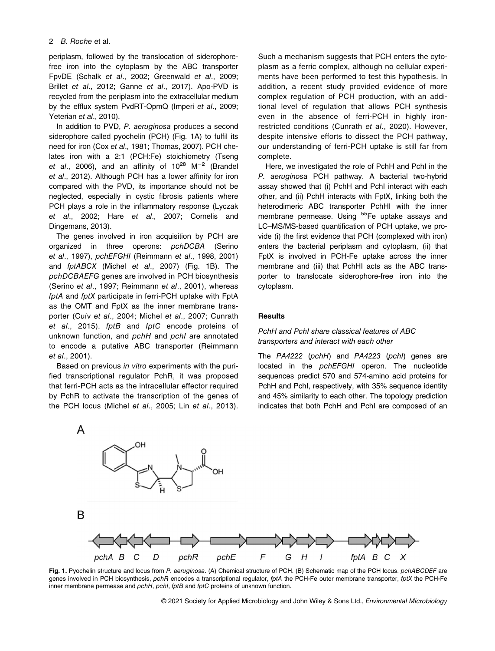periplasm, followed by the translocation of siderophorefree iron into the cytoplasm by the ABC transporter FpvDE (Schalk et al., 2002; Greenwald et al., 2009; Brillet et al., 2012; Ganne et al., 2017). Apo-PVD is recycled from the periplasm into the extracellular medium by the efflux system PvdRT-OpmQ (Imperi et al., 2009; Yeterian et al., 2010).

In addition to PVD, P. aeruginosa produces a second siderophore called pyochelin (PCH) (Fig. 1A) to fulfil its need for iron (Cox et al., 1981; Thomas, 2007). PCH chelates iron with a 2:1 (PCH:Fe) stoichiometry (Tseng et al., 2006), and an affinity of  $10^{28}$  M<sup>-2</sup> (Brandel et al., 2012). Although PCH has a lower affinity for iron compared with the PVD, its importance should not be neglected, especially in cystic fibrosis patients where PCH plays a role in the inflammatory response (Lyczak et al., 2002; Hare et al., 2007; Cornelis and Dingemans, 2013).

The genes involved in iron acquisition by PCH are organized in three operons: pchDCBA (Serino et al., 1997), pchEFGHI (Reimmann et al., 1998, 2001) and fptABCX (Michel et al., 2007) (Fig. 1B). The pchDCBAEFG genes are involved in PCH biosynthesis (Serino et al., 1997; Reimmann et al., 2001), whereas fptA and fptX participate in ferri-PCH uptake with FptA as the OMT and FptX as the inner membrane transporter (Cuív et al., 2004; Michel et al., 2007; Cunrath et al., 2015). fptB and fptC encode proteins of unknown function, and pchH and pchI are annotated to encode a putative ABC transporter (Reimmann et al., 2001).

Based on previous in vitro experiments with the purified transcriptional regulator PchR, it was proposed that ferri-PCH acts as the intracellular effector required by PchR to activate the transcription of the genes of the PCH locus (Michel et al., 2005; Lin et al., 2013).

Such a mechanism suggests that PCH enters the cytoplasm as a ferric complex, although no cellular experiments have been performed to test this hypothesis. In addition, a recent study provided evidence of more complex regulation of PCH production, with an additional level of regulation that allows PCH synthesis even in the absence of ferri-PCH in highly ironrestricted conditions (Cunrath et al., 2020). However, despite intensive efforts to dissect the PCH pathway, our understanding of ferri-PCH uptake is still far from complete.

Here, we investigated the role of PchH and PchI in the P. aeruginosa PCH pathway. A bacterial two-hybrid assay showed that (i) PchH and PchI interact with each other, and (ii) PchH interacts with FptX, linking both the heterodimeric ABC transporter PchHI with the inner membrane permease. Using <sup>55</sup>Fe uptake assays and LC–MS/MS-based quantification of PCH uptake, we provide (i) the first evidence that PCH (complexed with iron) enters the bacterial periplasm and cytoplasm, (ii) that FptX is involved in PCH-Fe uptake across the inner membrane and (iii) that PchHI acts as the ABC transporter to translocate siderophore-free iron into the cytoplasm.

#### **Results**

## PchH and PchI share classical features of ABC transporters and interact with each other

The PA4222 (pchH) and PA4223 (pchI) genes are located in the pchEFGHI operon. The nucleotide sequences predict 570 and 574-amino acid proteins for PchH and PchI, respectively, with 35% sequence identity and 45% similarity to each other. The topology prediction indicates that both PchH and PchI are composed of an



Fig. 1. Pyochelin structure and locus from P. aeruginosa. (A) Chemical structure of PCH. (B) Schematic map of the PCH locus. pchABCDEF are genes involved in PCH biosynthesis, pchR encodes a transcriptional regulator, fptA the PCH-Fe outer membrane transporter, fptX the PCH-Fe inner membrane permease and pchH, pchI, fptB and fptC proteins of unknown function.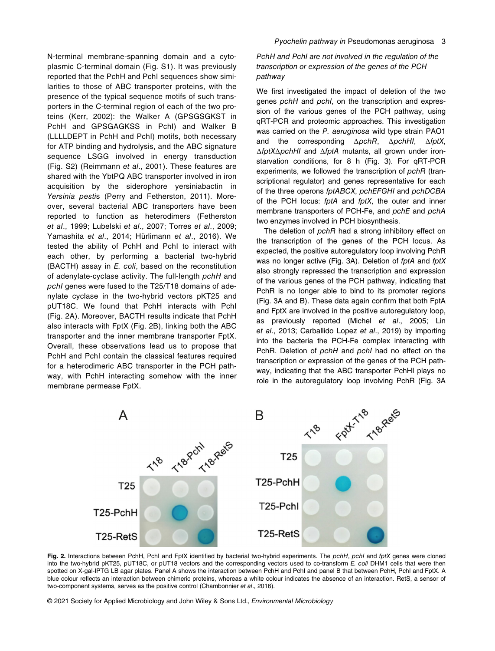N-terminal membrane-spanning domain and a cytoplasmic C-terminal domain (Fig. S1). It was previously reported that the PchH and PchI sequences show similarities to those of ABC transporter proteins, with the presence of the typical sequence motifs of such transporters in the C-terminal region of each of the two proteins (Kerr, 2002): the Walker A (GPSGSGKST in PchH and GPSGAGKSS in PchI) and Walker B (LLLLDEPT in PchH and PchI) motifs, both necessary for ATP binding and hydrolysis, and the ABC signature sequence LSGG involved in energy transduction (Fig. S2) (Reimmann et al., 2001). These features are shared with the YbtPQ ABC transporter involved in iron acquisition by the siderophore yersiniabactin in Yersinia pestis (Perry and Fetherston, 2011). Moreover, several bacterial ABC transporters have been reported to function as heterodimers (Fetherston et al., 1999; Lubelski et al., 2007; Torres et al., 2009; Yamashita et al., 2014; Hürlimann et al., 2016). We tested the ability of PchH and PchI to interact with each other, by performing a bacterial two-hybrid (BACTH) assay in E. coli, based on the reconstitution of adenylate-cyclase activity. The full-length pchH and pchI genes were fused to the T25/T18 domains of adenylate cyclase in the two-hybrid vectors pKT25 and pUT18C. We found that PchH interacts with PchI (Fig. 2A). Moreover, BACTH results indicate that PchH also interacts with FptX (Fig. 2B), linking both the ABC transporter and the inner membrane transporter FptX. Overall, these observations lead us to propose that PchH and PchI contain the classical features required for a heterodimeric ABC transporter in the PCH pathway, with PchH interacting somehow with the inner membrane permease FptX.

PchH and PchI are not involved in the regulation of the transcription or expression of the genes of the PCH pathway

We first investigated the impact of deletion of the two genes pchH and pchI, on the transcription and expression of the various genes of the PCH pathway, using qRT-PCR and proteomic approaches. This investigation was carried on the P. aeruginosa wild type strain PAO1 and the corresponding ΔpchR, ΔpchHI, ΔfptX, ΔfptXΔpchHI and ΔfptA mutants, all grown under ironstarvation conditions, for 8 h (Fig. 3). For qRT-PCR experiments, we followed the transcription of pchR (transcriptional regulator) and genes representative for each of the three operons fptABCX, pchEFGHI and pchDCBA of the PCH locus: fptA and fptX, the outer and inner membrane transporters of PCH-Fe, and pchE and pchA two enzymes involved in PCH biosynthesis.

The deletion of pchR had a strong inhibitory effect on the transcription of the genes of the PCH locus. As expected, the positive autoregulatory loop involving PchR was no longer active (Fig. 3A). Deletion of fptA and fptX also strongly repressed the transcription and expression of the various genes of the PCH pathway, indicating that PchR is no longer able to bind to its promoter regions (Fig. 3A and B). These data again confirm that both FptA and FptX are involved in the positive autoregulatory loop, as previously reported (Michel et al., 2005; Lin et al., 2013; Carballido Lopez et al., 2019) by importing into the bacteria the PCH-Fe complex interacting with PchR. Deletion of pchH and pchI had no effect on the transcription or expression of the genes of the PCH pathway, indicating that the ABC transporter PchHI plays no role in the autoregulatory loop involving PchR (Fig. 3A



Fig. 2. Interactions between PchH, PchI and FptX identified by bacterial two-hybrid experiments. The pchH, pchI and fptX genes were cloned into the two-hybrid pKT25, pUT18C, or pUT18 vectors and the corresponding vectors used to co-transform E. coli DHM1 cells that were then spotted on X-gal-IPTG LB agar plates. Panel A shows the interaction between PchH and PchI and panel B that between PchH, PchI and FptX. A blue colour reflects an interaction between chimeric proteins, whereas a white colour indicates the absence of an interaction. RetS, a sensor of two-component systems, serves as the positive control (Chambonnier et al., 2016).

© 2021 Society for Applied Microbiology and John Wiley & Sons Ltd., Environmental Microbiology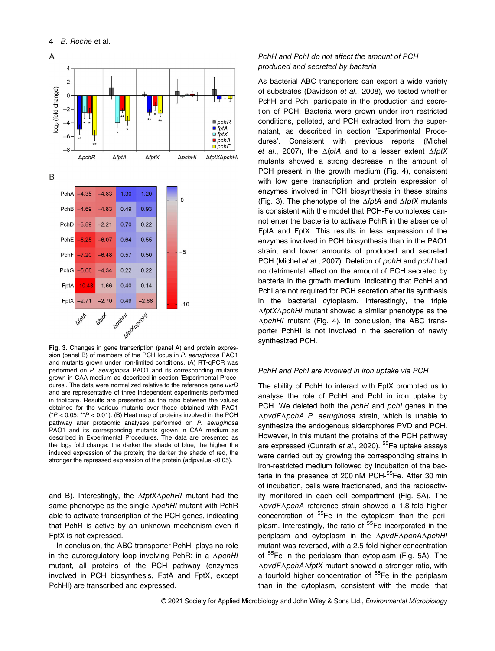

Fig. 3. Changes in gene transcription (panel A) and protein expression (panel B) of members of the PCH locus in P. aeruginosa PAO1 and mutants grown under iron-limited conditions. (A) RT-qPCR was performed on P. aeruginosa PAO1 and its corresponding mutants grown in CAA medium as described in section 'Experimental Procedures'. The data were normalized relative to the reference gene uvrD and are representative of three independent experiments performed in triplicate. Results are presented as the ratio between the values obtained for the various mutants over those obtained with PAO1  $(^{\ast}P < 0.05; ^{\ast\ast}P < 0.01)$ . (B) Heat map of proteins involved in the PCH pathway after proteomic analyses performed on P. aeruginosa PAO1 and its corresponding mutants grown in CAA medium as described in Experimental Procedures. The data are presented as the  $log<sub>2</sub>$  fold change: the darker the shade of blue, the higher the induced expression of the protein; the darker the shade of red, the stronger the repressed expression of the protein (adjpvalue <0.05).

and B). Interestingly, the ΔfptXΔpchHI mutant had the same phenotype as the single ΔpchHI mutant with PchR able to activate transcription of the PCH genes, indicating that PchR is active by an unknown mechanism even if FptX is not expressed.

In conclusion, the ABC transporter PchHI plays no role in the autoregulatory loop involving PchR: in a ΔpchHI mutant, all proteins of the PCH pathway (enzymes involved in PCH biosynthesis, FptA and FptX, except PchHI) are transcribed and expressed.

## PchH and PchI do not affect the amount of PCH produced and secreted by bacteria

As bacterial ABC transporters can export a wide variety of substrates (Davidson et al., 2008), we tested whether PchH and PchI participate in the production and secretion of PCH. Bacteria were grown under iron restricted conditions, pelleted, and PCH extracted from the supernatant, as described in section 'Experimental Procedures'. Consistent with previous reports (Michel et al., 2007), the  $\Delta f$ ptA and to a lesser extent  $\Delta f$ ptX mutants showed a strong decrease in the amount of PCH present in the growth medium (Fig. 4), consistent with low gene transcription and protein expression of enzymes involved in PCH biosynthesis in these strains (Fig. 3). The phenotype of the  $\Delta f$ ptA and  $\Delta f$ ptX mutants is consistent with the model that PCH-Fe complexes cannot enter the bacteria to activate PchR in the absence of FptA and FptX. This results in less expression of the enzymes involved in PCH biosynthesis than in the PAO1 strain, and lower amounts of produced and secreted PCH (Michel et al., 2007). Deletion of pchH and pchI had no detrimental effect on the amount of PCH secreted by bacteria in the growth medium, indicating that PchH and PchI are not required for PCH secretion after its synthesis in the bacterial cytoplasm. Interestingly, the triple ΔfptXΔpchHI mutant showed a similar phenotype as the ΔpchHI mutant (Fig. 4). In conclusion, the ABC transporter PchHI is not involved in the secretion of newly synthesized PCH.

## PchH and PchI are involved in iron uptake via PCH

The ability of PchH to interact with FptX prompted us to analyse the role of PchH and PchI in iron uptake by PCH. We deleted both the pchH and pchI genes in the ΔpvdFΔpchA P. aeruginosa strain, which is unable to synthesize the endogenous siderophores PVD and PCH. However, in this mutant the proteins of the PCH pathway are expressed (Cunrath et al., 2020). <sup>55</sup>Fe uptake assays were carried out by growing the corresponding strains in iron-restricted medium followed by incubation of the bacteria in the presence of 200 nM PCH-<sup>55</sup>Fe. After 30 min of incubation, cells were fractionated, and the radioactivity monitored in each cell compartment (Fig. 5A). The ΔpvdFΔpchA reference strain showed a 1.8-fold higher concentration of  $55$ Fe in the cytoplasm than the periplasm. Interestingly, the ratio of <sup>55</sup>Fe incorporated in the periplasm and cytoplasm in the ΔpvdFΔpchAΔpchHI mutant was reversed, with a 2.5-fold higher concentration of <sup>55</sup>Fe in the periplasm than cytoplasm (Fig. 5A). The ΔpvdFΔpchAΔfptX mutant showed a stronger ratio, with a fourfold higher concentration of <sup>55</sup>Fe in the periplasm than in the cytoplasm, consistent with the model that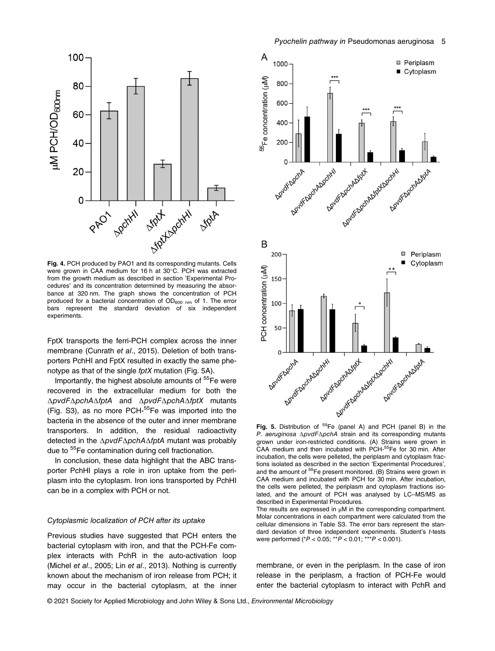

Fig. 4. PCH produced by PAO1 and its corresponding mutants. Cells were grown in CAA medium for 16 h at 30°C. PCH was extracted from the growth medium as described in section 'Experimental Procedures' and its concentration determined by measuring the absorbance at 320 nm. The graph shows the concentration of PCH produced for a bacterial concentration of  $OD_{600 \ nm}$  of 1. The error bars represent the standard deviation of six independent experiments.

FptX transports the ferri-PCH complex across the inner membrane (Cunrath et al., 2015). Deletion of both transporters PchHI and FptX resulted in exactly the same phenotype as that of the single fptX mutation (Fig. 5A).

Importantly, the highest absolute amounts of <sup>55</sup>Fe were recovered in the extracellular medium for both the ΔpvdFΔpchAΔfptA and ΔpvdFΔpchAΔfptX mutants (Fig. S3), as no more PCH-55Fe was imported into the bacteria in the absence of the outer and inner membrane transporters. In addition, the residual radioactivity detected in the ΔpvdFΔpchAΔfptA mutant was probably due to <sup>55</sup>Fe contamination during cell fractionation.

In conclusion, these data highlight that the ABC transporter PchHI plays a role in iron uptake from the periplasm into the cytoplasm. Iron ions transported by PchHI can be in a complex with PCH or not.

## Cytoplasmic localization of PCH after its uptake

Previous studies have suggested that PCH enters the bacterial cytoplasm with iron, and that the PCH-Fe complex interacts with PchR in the auto-activation loop (Michel et al., 2005; Lin et al., 2013). Nothing is currently known about the mechanism of iron release from PCH; it may occur in the bacterial cytoplasm, at the inner



P. aeruginosa ΔpvdFΔpchA strain and its corresponding mutants grown under iron-restricted conditions. (A) Strains were grown in CAA medium and then incubated with PCH-55Fe for 30 min. After incubation, the cells were pelleted, the periplasm and cytoplasm fractions isolated as described in the section 'Experimental Procedures', and the amount of <sup>55</sup>Fe present monitored. (B) Strains were grown in CAA medium and incubated with PCH for 30 min. After incubation, the cells were pelleted, the periplasm and cytoplasm fractions isolated, and the amount of PCH was analysed by LC–MS/MS as described in Experimental Procedures.

The results are expressed in μM in the corresponding compartment. Molar concentrations in each compartment were calculated from the cellular dimensions in Table S3. The error bars represent the standard deviation of three independent experiments. Student's t-tests were performed (\*P < 0.05; \*\*P < 0.01; \*\*\*P < 0.001).

membrane, or even in the periplasm. In the case of iron release in the periplasm, a fraction of PCH-Fe would enter the bacterial cytoplasm to interact with PchR and

© 2021 Society for Applied Microbiology and John Wiley & Sons Ltd., Environmental Microbiology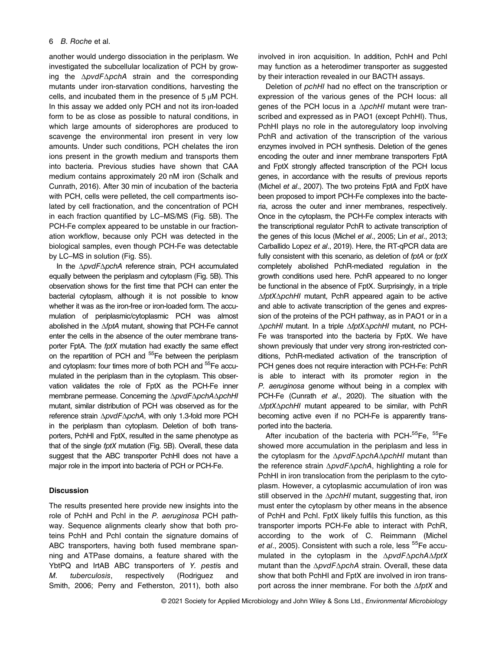## 6 B. Roche et al.

another would undergo dissociation in the periplasm. We investigated the subcellular localization of PCH by growing the ΔpvdFΔpchA strain and the corresponding mutants under iron-starvation conditions, harvesting the cells, and incubated them in the presence of 5 μM PCH. In this assay we added only PCH and not its iron-loaded form to be as close as possible to natural conditions, in which large amounts of siderophores are produced to scavenge the environmental iron present in very low amounts. Under such conditions, PCH chelates the iron ions present in the growth medium and transports them into bacteria. Previous studies have shown that CAA medium contains approximately 20 nM iron (Schalk and Cunrath, 2016). After 30 min of incubation of the bacteria with PCH, cells were pelleted, the cell compartments isolated by cell fractionation, and the concentration of PCH in each fraction quantified by LC–MS/MS (Fig. 5B). The PCH-Fe complex appeared to be unstable in our fractionation workflow, because only PCH was detected in the biological samples, even though PCH-Fe was detectable by LC–MS in solution (Fig. S5).

In the ΔpvdFΔpchA reference strain, PCH accumulated equally between the periplasm and cytoplasm (Fig. 5B). This observation shows for the first time that PCH can enter the bacterial cytoplasm, although it is not possible to know whether it was as the iron-free or iron-loaded form. The accumulation of periplasmic/cytoplasmic PCH was almost abolished in the ΔfptA mutant, showing that PCH-Fe cannot enter the cells in the absence of the outer membrane transporter FptA. The fptX mutation had exactly the same effect on the repartition of PCH and <sup>55</sup>Fe between the periplasm and cytoplasm: four times more of both PCH and <sup>55</sup>Fe accumulated in the periplasm than in the cytoplasm. This observation validates the role of FptX as the PCH-Fe inner membrane permease. Concerning the ΔpvdFΔpchAΔpchHI mutant, similar distribution of PCH was observed as for the reference strain ΔpvdFΔpchA, with only 1.3-fold more PCH in the periplasm than cytoplasm. Deletion of both transporters, PchHI and FptX, resulted in the same phenotype as that of the single fptX mutation (Fig. 5B). Overall, these data suggest that the ABC transporter PchHI does not have a major role in the import into bacteria of PCH or PCH-Fe.

## **Discussion**

The results presented here provide new insights into the role of PchH and PchI in the P. aeruginosa PCH pathway. Sequence alignments clearly show that both proteins PchH and PchI contain the signature domains of ABC transporters, having both fused membrane spanning and ATPase domains, a feature shared with the YbtPQ and IrtAB ABC transporters of Y. pestis and M. tuberculosis, respectively (Rodriguez and Smith, 2006; Perry and Fetherston, 2011), both also

involved in iron acquisition. In addition, PchH and PchI may function as a heterodimer transporter as suggested by their interaction revealed in our BACTH assays.

Deletion of pchHI had no effect on the transcription or expression of the various genes of the PCH locus: all genes of the PCH locus in a ΔpchHI mutant were transcribed and expressed as in PAO1 (except PchHI). Thus, PchHI plays no role in the autoregulatory loop involving PchR and activation of the transcription of the various enzymes involved in PCH synthesis. Deletion of the genes encoding the outer and inner membrane transporters FptA and FptX strongly affected transcription of the PCH locus genes, in accordance with the results of previous reports (Michel et al., 2007). The two proteins FptA and FptX have been proposed to import PCH-Fe complexes into the bacteria, across the outer and inner membranes, respectively. Once in the cytoplasm, the PCH-Fe complex interacts with the transcriptional regulator PchR to activate transcription of the genes of this locus (Michel et al., 2005; Lin et al., 2013; Carballido Lopez et al., 2019). Here, the RT-qPCR data are fully consistent with this scenario, as deletion of fptA or fptX completely abolished PchR-mediated regulation in the growth conditions used here. PchR appeared to no longer be functional in the absence of FptX. Surprisingly, in a triple ΔfptXΔpchHI mutant, PchR appeared again to be active and able to activate transcription of the genes and expression of the proteins of the PCH pathway, as in PAO1 or in a ΔpchHI mutant. In a triple ΔfptXΔpchHI mutant, no PCH-Fe was transported into the bacteria by FptX. We have shown previously that under very strong iron-restricted conditions, PchR-mediated activation of the transcription of PCH genes does not require interaction with PCH-Fe: PchR is able to interact with its promoter region in the P. aeruginosa genome without being in a complex with PCH-Fe (Cunrath et al., 2020). The situation with the ΔfptXΔpchHI mutant appeared to be similar, with PchR becoming active even if no PCH-Fe is apparently transported into the bacteria.

After incubation of the bacteria with PCH-<sup>55</sup>Fe, <sup>55</sup>Fe showed more accumulation in the periplasm and less in the cytoplasm for the ΔpvdFΔpchAΔpchHI mutant than the reference strain ΔpvdFΔpchA, highlighting a role for PchHI in iron translocation from the periplasm to the cytoplasm. However, a cytoplasmic accumulation of iron was still observed in the ΔpchHI mutant, suggesting that, iron must enter the cytoplasm by other means in the absence of PchH and PchI. FptX likely fulfils this function, as this transporter imports PCH-Fe able to interact with PchR, according to the work of C. Reimmann (Michel et al., 2005). Consistent with such a role, less  ${}^{55}$ Fe accumulated in the cytoplasm in the ΔpvdFΔpchAΔfptX mutant than the ΔpvdFΔpchA strain. Overall, these data show that both PchHI and FptX are involved in iron transport across the inner membrane. For both the  $\Delta f$ ptX and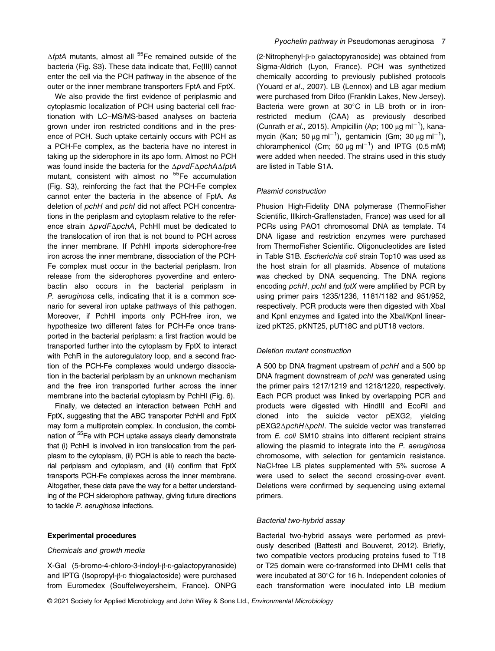$\Delta f$ ptA mutants, almost all <sup>55</sup>Fe remained outside of the bacteria (Fig. S3). These data indicate that, Fe(III) cannot enter the cell via the PCH pathway in the absence of the outer or the inner membrane transporters FptA and FptX.

We also provide the first evidence of periplasmic and cytoplasmic localization of PCH using bacterial cell fractionation with LC–MS/MS-based analyses on bacteria grown under iron restricted conditions and in the presence of PCH. Such uptake certainly occurs with PCH as a PCH-Fe complex, as the bacteria have no interest in taking up the siderophore in its apo form. Almost no PCH was found inside the bacteria for the ΔpvdFΔpchAΔfptA mutant, consistent with almost no <sup>55</sup>Fe accumulation (Fig. S3), reinforcing the fact that the PCH-Fe complex cannot enter the bacteria in the absence of FptA. As deletion of pchH and pchI did not affect PCH concentrations in the periplasm and cytoplasm relative to the reference strain ΔpvdFΔpchA, PchHI must be dedicated to the translocation of iron that is not bound to PCH across the inner membrane. If PchHI imports siderophore-free iron across the inner membrane, dissociation of the PCH-Fe complex must occur in the bacterial periplasm. Iron release from the siderophores pyoverdine and enterobactin also occurs in the bacterial periplasm in P. aeruginosa cells, indicating that it is a common scenario for several iron uptake pathways of this pathogen. Moreover, if PchHI imports only PCH-free iron, we hypothesize two different fates for PCH-Fe once transported in the bacterial periplasm: a first fraction would be transported further into the cytoplasm by FptX to interact with PchR in the autoregulatory loop, and a second fraction of the PCH-Fe complexes would undergo dissociation in the bacterial periplasm by an unknown mechanism and the free iron transported further across the inner membrane into the bacterial cytoplasm by PchHI (Fig. 6).

Finally, we detected an interaction between PchH and FptX, suggesting that the ABC transporter PchHI and FptX may form a multiprotein complex. In conclusion, the combination of 55Fe with PCH uptake assays clearly demonstrate that (i) PchHI is involved in iron translocation from the periplasm to the cytoplasm, (ii) PCH is able to reach the bacterial periplasm and cytoplasm, and (iii) confirm that FptX transports PCH-Fe complexes across the inner membrane. Altogether, these data pave the way for a better understanding of the PCH siderophore pathway, giving future directions to tackle P. aeruginosa infections.

## Experimental procedures

#### Chemicals and growth media

X-Gal (5-bromo-4-chloro-3-indoyl-β-D-galactopyranoside) and IPTG (Isopropyl-β-D thiogalactoside) were purchased from Euromedex (Souffelweyersheim, France). ONPG

## Pyochelin pathway in Pseudomonas aeruginosa 7

(2-Nitrophenyl-β-D galactopyranoside) was obtained from Sigma-Aldrich (Lyon, France). PCH was synthetized chemically according to previously published protocols (Youard et al., 2007). LB (Lennox) and LB agar medium were purchased from Difco (Franklin Lakes, New Jersey). Bacteria were grown at  $30^{\circ}$ C in LB broth or in ironrestricted medium (CAA) as previously described (Cunrath et al., 2015). Ampicillin (Ap; 100  $\mu$ g ml<sup>-1</sup>), kanamycin (Kan; 50 μg ml<sup>-1</sup>), gentamicin (Gm; 30 μg ml<sup>-1</sup>), chloramphenicol (Cm; 50  $\mu$ g ml<sup>-1</sup>) and IPTG (0.5 mM) were added when needed. The strains used in this study are listed in Table S1A.

### Plasmid construction

Phusion High-Fidelity DNA polymerase (ThermoFisher Scientific, Illkirch-Graffenstaden, France) was used for all PCRs using PAO1 chromosomal DNA as template. T4 DNA ligase and restriction enzymes were purchased from ThermoFisher Scientific. Oligonucleotides are listed in Table S1B. Escherichia coli strain Top10 was used as the host strain for all plasmids. Absence of mutations was checked by DNA sequencing. The DNA regions encoding *pchH*, *pchI* and *fptX* were amplified by PCR by using primer pairs 1235/1236, 1181/1182 and 951/952, respectively. PCR products were then digested with XbaI and KpnI enzymes and ligated into the XbaI/KpnI linearized pKT25, pKNT25, pUT18C and pUT18 vectors.

#### Deletion mutant construction

A 500 bp DNA fragment upstream of pchH and a 500 bp DNA fragment downstream of pchI was generated using the primer pairs 1217/1219 and 1218/1220, respectively. Each PCR product was linked by overlapping PCR and products were digested with HindIII and EcoRI and cloned into the suicide vector pEXG2, yielding pEXG2ΔpchHΔpchI. The suicide vector was transferred from E. coli SM10 strains into different recipient strains allowing the plasmid to integrate into the P. aeruginosa chromosome, with selection for gentamicin resistance. NaCl-free LB plates supplemented with 5% sucrose A were used to select the second crossing-over event. Deletions were confirmed by sequencing using external primers.

## Bacterial two-hybrid assay

Bacterial two-hybrid assays were performed as previously described (Battesti and Bouveret, 2012). Briefly, two compatible vectors producing proteins fused to T18 or T25 domain were co-transformed into DHM1 cells that were incubated at 30°C for 16 h. Independent colonies of each transformation were inoculated into LB medium

© 2021 Society for Applied Microbiology and John Wiley & Sons Ltd., Environmental Microbiology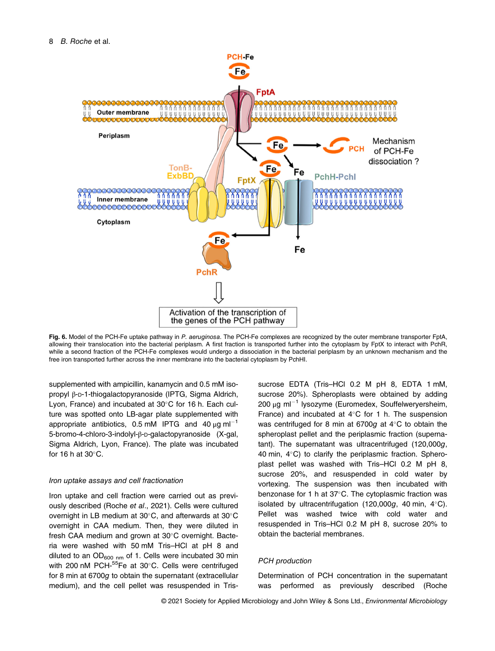

Fig. 6. Model of the PCH-Fe uptake pathway in P. aeruginosa. The PCH-Fe complexes are recognized by the outer membrane transporter FptA, allowing their translocation into the bacterial periplasm. A first fraction is transported further into the cytoplasm by FptX to interact with PchR, while a second fraction of the PCH-Fe complexes would undergo a dissociation in the bacterial periplasm by an unknown mechanism and the free iron transported further across the inner membrane into the bacterial cytoplasm by PchHI.

supplemented with ampicillin, kanamycin and 0.5 mM isopropyl β-D-1-thiogalactopyranoside (IPTG, Sigma Aldrich, Lyon, France) and incubated at  $30^{\circ}$ C for 16 h. Each culture was spotted onto LB-agar plate supplemented with appropriate antibiotics, 0.5 mM IPTG and 40  $\mu$ g ml<sup>-1</sup> 5-bromo-4-chloro-3-indolyl-β-D-galactopyranoside (X-gal, Sigma Aldrich, Lyon, France). The plate was incubated for 16 h at  $30^{\circ}$ C.

## Iron uptake assays and cell fractionation

Iron uptake and cell fraction were carried out as previously described (Roche et al., 2021). Cells were cultured overnight in LB medium at  $30^{\circ}$ C, and afterwards at  $30^{\circ}$ C overnight in CAA medium. Then, they were diluted in fresh CAA medium and grown at  $30^{\circ}$ C overnight. Bacteria were washed with 50 mM Tris–HCl at pH 8 and diluted to an  $OD_{600 \ nm}$  of 1. Cells were incubated 30 min with 200 nM PCH- $55$ Fe at 30 $^{\circ}$ C. Cells were centrifuged for 8 min at 6700g to obtain the supernatant (extracellular medium), and the cell pellet was resuspended in Trissucrose EDTA (Tris–HCl 0.2 M pH 8, EDTA 1 mM, sucrose 20%). Spheroplasts were obtained by adding  $200 \mu g$  ml<sup>-1</sup> lysozyme (Euromedex, Souffelweryersheim, France) and incubated at  $4^{\circ}$ C for 1 h. The suspension was centrifuged for 8 min at 6700g at  $4^{\circ}$ C to obtain the spheroplast pellet and the periplasmic fraction (supernatant). The supernatant was ultracentrifuged (120,000g, 40 min,  $4^{\circ}$ C) to clarify the periplasmic fraction. Spheroplast pellet was washed with Tris–HCl 0.2 M pH 8, sucrose 20%, and resuspended in cold water by vortexing. The suspension was then incubated with benzonase for 1 h at  $37^{\circ}$ C. The cytoplasmic fraction was isolated by ultracentrifugation (120,000g, 40 min,  $4^{\circ}$ C). Pellet was washed twice with cold water and resuspended in Tris–HCl 0.2 M pH 8, sucrose 20% to obtain the bacterial membranes.

#### PCH production

Determination of PCH concentration in the supernatant was performed as previously described (Roche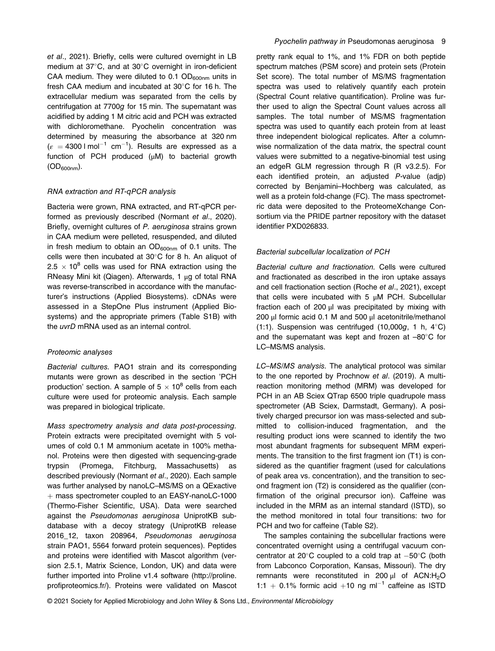et al., 2021). Briefly, cells were cultured overnight in LB medium at  $37^{\circ}$ C, and at  $30^{\circ}$ C overnight in iron-deficient CAA medium. They were diluted to 0.1  $OD<sub>600nm</sub>$  units in fresh CAA medium and incubated at  $30^{\circ}$ C for 16 h. The extracellular medium was separated from the cells by centrifugation at 7700g for 15 min. The supernatant was acidified by adding 1 M citric acid and PCH was extracted with dichloromethane. Pyochelin concentration was determined by measuring the absorbance at 320 nm  $(\varepsilon = 4300 \text{ J mol}^{-1} \text{ cm}^{-1})$ . Results are expressed as a function of PCH produced (μM) to bacterial growth  $(OD_{600nm}).$ 

## RNA extraction and RT-qPCR analysis

Bacteria were grown, RNA extracted, and RT-qPCR performed as previously described (Normant et al., 2020). Briefly, overnight cultures of P. aeruginosa strains grown in CAA medium were pelleted, resuspended, and diluted in fresh medium to obtain an  $OD_{600nm}$  of 0.1 units. The cells were then incubated at  $30^{\circ}$ C for 8 h. An aliquot of  $2.5 \times 10^8$  cells was used for RNA extraction using the RNeasy Mini kit (Qiagen). Afterwards, 1 μg of total RNA was reverse-transcribed in accordance with the manufacturer's instructions (Applied Biosystems). cDNAs were assessed in a StepOne Plus instrument (Applied Biosystems) and the appropriate primers (Table S1B) with the *uvrD* mRNA used as an internal control.

#### Proteomic analyses

Bacterial cultures. PAO1 strain and its corresponding mutants were grown as described in the section 'PCH production' section. A sample of  $5 \times 10^8$  cells from each culture were used for proteomic analysis. Each sample was prepared in biological triplicate.

Mass spectrometry analysis and data post-processing. Protein extracts were precipitated overnight with 5 volumes of cold 0.1 M ammonium acetate in 100% methanol. Proteins were then digested with sequencing-grade trypsin (Promega, Fitchburg, Massachusetts) as described previously (Normant et al., 2020). Each sample was further analysed by nanoLC–MS/MS on a QExactive + mass spectrometer coupled to an EASY-nanoLC-1000 (Thermo-Fisher Scientific, USA). Data were searched against the Pseudomonas aeruginosa UniprotKB subdatabase with a decoy strategy (UniprotKB release 2016\_12, taxon 208964, Pseudomonas aeruginosa strain PAO1, 5564 forward protein sequences). Peptides and proteins were identified with Mascot algorithm (version 2.5.1, Matrix Science, London, UK) and data were further imported into Proline v1.4 software [\(http://proline.](http://proline.profiproteomics.fr/) profi[proteomics.fr/](http://proline.profiproteomics.fr/)). Proteins were validated on Mascot pretty rank equal to 1%, and 1% FDR on both peptide spectrum matches (PSM score) and protein sets (Protein Set score). The total number of MS/MS fragmentation spectra was used to relatively quantify each protein (Spectral Count relative quantification). Proline was further used to align the Spectral Count values across all samples. The total number of MS/MS fragmentation spectra was used to quantify each protein from at least three independent biological replicates. After a columnwise normalization of the data matrix, the spectral count values were submitted to a negative-binomial test using an edgeR GLM regression through R (R v3.2.5). For each identified protein, an adjusted P-value (adjp) corrected by Benjamini–Hochberg was calculated, as well as a protein fold-change (FC). The mass spectrometric data were deposited to the ProteomeXchange Consortium via the PRIDE partner repository with the dataset identifier PXD026833.

#### Bacterial subcellular localization of PCH

Bacterial culture and fractionation. Cells were cultured and fractionated as described in the iron uptake assays and cell fractionation section (Roche et al., 2021), except that cells were incubated with 5 μM PCH. Subcellular fraction each of 200 μl was precipitated by mixing with 200 μl formic acid 0.1 M and 500 μl acetonitrile/methanol (1:1). Suspension was centrifuged (10,000 $q$ , 1 h, 4 $\textdegree$ C) and the supernatant was kept and frozen at  $-80^{\circ}$ C for LC–MS/MS analysis.

LC–MS/MS analysis. The analytical protocol was similar to the one reported by Prochnow et al. (2019). A multireaction monitoring method (MRM) was developed for PCH in an AB Sciex QTrap 6500 triple quadrupole mass spectrometer (AB Sciex, Darmstadt, Germany). A positively charged precursor ion was mass-selected and submitted to collision-induced fragmentation, and the resulting product ions were scanned to identify the two most abundant fragments for subsequent MRM experiments. The transition to the first fragment ion (T1) is considered as the quantifier fragment (used for calculations of peak area vs. concentration), and the transition to second fragment ion (T2) is considered as the qualifier (confirmation of the original precursor ion). Caffeine was included in the MRM as an internal standard (ISTD), so the method monitored in total four transitions: two for PCH and two for caffeine (Table S2).

The samples containing the subcellular fractions were concentrated overnight using a centrifugal vacuum concentrator at 20 $\degree$ C coupled to a cold trap at  $-50\degree$ C (both from Labconco Corporation, Kansas, Missouri). The dry remnants were reconstituted in 200 μl of ACN:H<sub>2</sub>O 1:1 + 0.1% formic acid +10 ng m $^{-1}$  caffeine as ISTD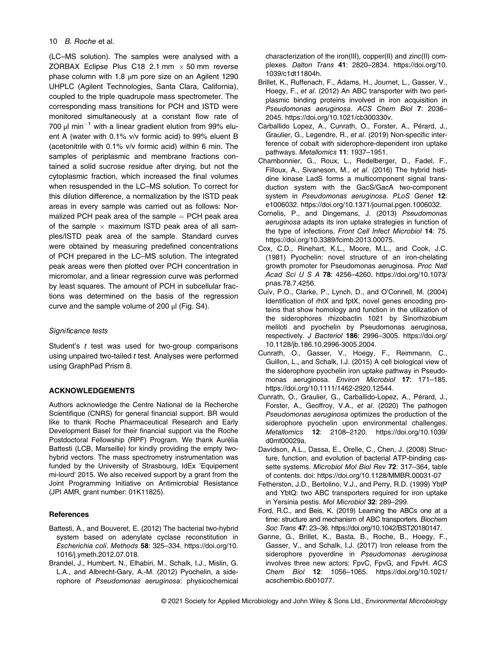## 10 B. Roche et al.

(LC–MS solution). The samples were analysed with a ZORBAX Eclipse Plus C18 2.1 mm  $\times$  50 mm reverse phase column with 1.8 μm pore size on an Agilent 1290 UHPLC (Agilent Technologies, Santa Clara, California), coupled to the triple quadrupole mass spectrometer. The corresponding mass transitions for PCH and ISTD were monitored simultaneously at a constant flow rate of 700  $\mu$ I min<sup>-1</sup> with a linear gradient elution from 99% eluent A (water with 0.1% v/v formic acid) to 99% eluent B (acetonitrile with 0.1% v/v formic acid) within 6 min. The samples of periplasmic and membrane fractions contained a solid sucrose residue after drying, but not the cytoplasmic fraction, which increased the final volumes when resuspended in the LC–MS solution. To correct for this dilution difference, a normalization by the ISTD peak areas in every sample was carried out as follows: Normalized PCH peak area of the sample  $=$  PCH peak area of the sample  $\times$  maximum ISTD peak area of all samples/ISTD peak area of the sample. Standard curves were obtained by measuring predefined concentrations of PCH prepared in the LC–MS solution. The integrated peak areas were then plotted over PCH concentration in micromolar, and a linear regression curve was performed by least squares. The amount of PCH in subcellular fractions was determined on the basis of the regression curve and the sample volume of 200 μl (Fig. S4).

## Significance tests

Student's  $t$  test was used for two-group comparisons using unpaired two-tailed t test. Analyses were performed using GraphPad Prism 8.

## ACKNOWLEDGEMENTS

Authors acknowledge the Centre National de la Recherche Scientifique (CNRS) for general financial support. BR would like to thank Roche Pharmaceutical Research and Early Development Basel for their financial support via the Roche Postdoctoral Fellowship (RPF) Program. We thank Aurélia Battesti (LCB, Marseille) for kindly providing the empty twohybrid vectors. The mass spectrometry instrumentation was funded by the University of Strasbourg, IdEx 'Equipement mi-lourd' 2015. We also received support by a grant from the Joint Programming Initiative on Antimicrobial Resistance (JPI AMR, grant number: 01K11825).

## **References**

- Battesti, A., and Bouveret, E. (2012) The bacterial two-hybrid system based on adenylate cyclase reconstitution in Escherichia coli. Methods 58: 325–334. [https://doi.org/10.](https://doi.org/10.1016/j.ymeth.2012.07.018) [1016/j.ymeth.2012.07.018](https://doi.org/10.1016/j.ymeth.2012.07.018).
- Brandel, J., Humbert, N., Elhabiri, M., Schalk, I.J., Mislin, G. L.A., and Albrecht-Gary, A.-M. (2012) Pyochelin, a siderophore of Pseudomonas aeruginosa: physicochemical

characterization of the iron(III), copper(II) and zinc(II) complexes. Dalton Trans 41: 2820–2834. [https://doi.org/10.](https://doi.org/10.1039/c1dt11804h) [1039/c1dt11804h.](https://doi.org/10.1039/c1dt11804h)

- Brillet, K., Ruffenach, F., Adams, H., Journet, L., Gasser, V., Hoegy, F., et al. (2012) An ABC transporter with two periplasmic binding proteins involved in iron acquisition in Pseudomonas aeruginosa. ACS Chem Biol 7: 2036– 2045.<https://doi.org/10.1021/cb300330v>.
- Carballido Lopez, A., Cunrath, O., Forster, A., Pérard, J., Graulier, G., Legendre, R., et al. (2019) Non-specific interference of cobalt with siderophore-dependent iron uptake pathways. Metallomics 11: 1937–1951.
- Chambonnier, G., Roux, L., Redelberger, D., Fadel, F., Filloux, A., Sivaneson, M., et al. (2016) The hybrid histidine kinase LadS forms a multicomponent signal transduction system with the GacS/GacA two-component system in Pseudomonas aeruginosa. PLoS Genet 12: e1006032.<https://doi.org/10.1371/journal.pgen.1006032>.
- Cornelis, P., and Dingemans, J. (2013) Pseudomonas aeruginosa adapts its iron uptake strategies in function of the type of infections. Front Cell Infect Microbiol 14: 75. <https://doi.org/10.3389/fcimb.2013.00075>.
- Cox, C.D., Rinehart, K.L., Moore, M.L., and Cook, J.C. (1981) Pyochelin: novel structure of an iron-chelating growth promoter for Pseudomonas aeruginosa. Proc Natl Acad Sci U S A 78: 4256–4260. [https://doi.org/10.1073/](https://doi.org/10.1073/pnas.78.7.4256) [pnas.78.7.4256.](https://doi.org/10.1073/pnas.78.7.4256)
- Cuív, P.O., Clarke, P., Lynch, D., and O'Connell, M. (2004) Identification of rhtX and fptX, novel genes encoding proteins that show homology and function in the utilization of the siderophores rhizobactin 1021 by Sinorhizobium meliloti and pyochelin by Pseudomonas aeruginosa, respectively. J Bacteriol 186: 2996–3005. [https://doi.org/](https://doi.org/10.1128/jb.186.10.2996-3005.2004) [10.1128/jb.186.10.2996-3005.2004.](https://doi.org/10.1128/jb.186.10.2996-3005.2004)
- Cunrath, O., Gasser, V., Hoegy, F., Reimmann, C., Guillon, L., and Schalk, I.J. (2015) A cell biological view of the siderophore pyochelin iron uptake pathway in Pseudomonas aeruginosa. Environ Microbiol 17: 171–185. [https://doi.org/10.1111/1462-2920.12544.](https://doi.org/10.1111/1462-2920.12544)
- Cunrath, O., Graulier, G., Carballido-Lopez, A., Pérard, J., Forster, A., Geoffroy, V.A., et al. (2020) The pathogen Pseudomonas aeruginosa optimizes the production of the siderophore pyochelin upon environmental challenges. Metallomics 12: 2108–2120. [https://doi.org/10.1039/](https://doi.org/10.1039/d0mt00029a) [d0mt00029a](https://doi.org/10.1039/d0mt00029a).
- Davidson, A.L., Dassa, E., Orelle, C., Chen, J. (2008) Structure, function, and evolution of bacterial ATP-binding cassette systems. Microbiol Mol Biol Rev 72: 317–364, table of contents. doi:<https://doi.org/10.1128/MMBR.00031-07>
- Fetherston, J.D., Bertolino, V.J., and Perry, R.D. (1999) YbtP and YbtQ: two ABC transporters required for iron uptake in Yersinia pestis. Mol Microbiol 32: 289–299.
- Ford, R.C., and Beis, K. (2019) Learning the ABCs one at a time: structure and mechanism of ABC transporters. Biochem Soc Trans 47: 23–36. [https://doi.org/10.1042/BST20180147.](https://doi.org/10.1042/BST20180147)
- Ganne, G., Brillet, K., Basta, B., Roche, B., Hoegy, F., Gasser, V., and Schalk, I.J. (2017) Iron release from the siderophore pyoverdine in Pseudomonas aeruginosa involves three new actors: FpvC, FpvG, and FpvH. ACS Chem Biol 12: 1056–1065. [https://doi.org/10.1021/](https://doi.org/10.1021/acschembio.6b01077) [acschembio.6b01077.](https://doi.org/10.1021/acschembio.6b01077)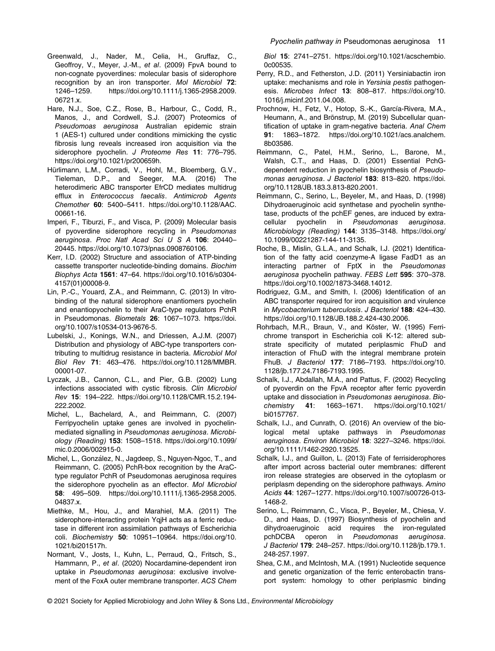- Greenwald, J., Nader, M., Celia, H., Gruffaz, C., Geoffroy, V., Meyer, J.-M., et al. (2009) FpvA bound to non-cognate pyoverdines: molecular basis of siderophore recognition by an iron transporter. Mol Microbiol 72:<br>1246–1259. https://doi.org/10.1111/j.1365-2958.2009. 1246–1259. [https://doi.org/10.1111/j.1365-2958.2009.](https://doi.org/10.1111/j.1365-2958.2009.06721.x) [06721.x.](https://doi.org/10.1111/j.1365-2958.2009.06721.x)
- Hare, N.J., Soe, C.Z., Rose, B., Harbour, C., Codd, R., Manos, J., and Cordwell, S.J. (2007) Proteomics of Pseudomoas aeruginosa Australian epidemic strain 1 (AES-1) cultured under conditions mimicking the cystic fibrosis lung reveals increased iron acquisition via the siderophore pyochelin. J Proteome Res 11: 776–795. <https://doi.org/10.1021/pr200659h>.
- Hürlimann, L.M., Corradi, V., Hohl, M., Bloemberg, G.V., Tieleman, D.P., and Seeger, M.A. (2016) The heterodimeric ABC transporter EfrCD mediates multidrug efflux in Enterococcus faecalis. Antimicrob Agents Chemother 60: 5400–5411. [https://doi.org/10.1128/AAC.](https://doi.org/10.1128/AAC.00661-16) [00661-16.](https://doi.org/10.1128/AAC.00661-16)
- Imperi, F., Tiburzi, F., and Visca, P. (2009) Molecular basis of pyoverdine siderophore recycling in Pseudomonas aeruginosa. Proc Natl Acad Sci U S A 106: 20440– 20445. [https://doi.org/10.1073/pnas.0908760106.](https://doi.org/10.1073/pnas.0908760106)
- Kerr, I.D. (2002) Structure and association of ATP-binding cassette transporter nucleotide-binding domains. Biochim Biophys Acta 1561: 47–64. [https://doi.org/10.1016/s0304-](https://doi.org/10.1016/s0304-4157(01)00008-9) [4157\(01\)00008-9.](https://doi.org/10.1016/s0304-4157(01)00008-9)
- Lin, P.-C., Youard, Z.A., and Reimmann, C. (2013) In vitrobinding of the natural siderophore enantiomers pyochelin and enantiopyochelin to their AraC-type regulators PchR in Pseudomonas. Biometals 26: 1067–1073. [https://doi.](https://doi.org/10.1007/s10534-013-9676-5) [org/10.1007/s10534-013-9676-5.](https://doi.org/10.1007/s10534-013-9676-5)
- Lubelski, J., Konings, W.N., and Driessen, A.J.M. (2007) Distribution and physiology of ABC-type transporters contributing to multidrug resistance in bacteria. Microbiol Mol Biol Rev 71: 463–476. [https://doi.org/10.1128/MMBR.](https://doi.org/10.1128/MMBR.00001-07) [00001-07.](https://doi.org/10.1128/MMBR.00001-07)
- Lyczak, J.B., Cannon, C.L., and Pier, G.B. (2002) Lung infections associated with cystic fibrosis. Clin Microbiol Rev 15: 194–222. [https://doi.org/10.1128/CMR.15.2.194-](https://doi.org/10.1128/CMR.15.2.194-222.2002) [222.2002](https://doi.org/10.1128/CMR.15.2.194-222.2002).
- Michel, L., Bachelard, A., and Reimmann, C. (2007) Ferripyochelin uptake genes are involved in pyochelinmediated signalling in Pseudomonas aeruginosa. Microbiology (Reading) 153: 1508–1518. [https://doi.org/10.1099/](https://doi.org/10.1099/mic.0.2006/002915-0) [mic.0.2006/002915-0](https://doi.org/10.1099/mic.0.2006/002915-0).
- Michel, L., González, N., Jagdeep, S., Nguyen-Ngoc, T., and Reimmann, C. (2005) PchR-box recognition by the AraCtype regulator PchR of Pseudomonas aeruginosa requires the siderophore pyochelin as an effector. Mol Microbiol 58: 495–509. [https://doi.org/10.1111/j.1365-2958.2005.](https://doi.org/10.1111/j.1365-2958.2005.04837.x) [04837.x.](https://doi.org/10.1111/j.1365-2958.2005.04837.x)
- Miethke, M., Hou, J., and Marahiel, M.A. (2011) The siderophore-interacting protein YqjH acts as a ferric reductase in different iron assimilation pathways of Escherichia coli. Biochemistry 50: 10951–10964. [https://doi.org/10.](https://doi.org/10.1021/bi201517h) [1021/bi201517h](https://doi.org/10.1021/bi201517h).
- Normant, V., Josts, I., Kuhn, L., Perraud, Q., Fritsch, S., Hammann, P., et al. (2020) Nocardamine-dependent iron uptake in Pseudomonas aeruginosa: exclusive involvement of the FoxA outer membrane transporter. ACS Chem

Biol 15: 2741–2751. [https://doi.org/10.1021/acschembio.](https://doi.org/10.1021/acschembio.0c00535) [0c00535](https://doi.org/10.1021/acschembio.0c00535).

- Perry, R.D., and Fetherston, J.D. (2011) Yersiniabactin iron uptake: mechanisms and role in Yersinia pestis pathogenesis. Microbes Infect 13: 808–817. [https://doi.org/10.](https://doi.org/10.1016/j.micinf.2011.04.008) [1016/j.micinf.2011.04.008.](https://doi.org/10.1016/j.micinf.2011.04.008)
- Prochnow, H., Fetz, V., Hotop, S.-K., García-Rivera, M.A., Heumann, A., and Brönstrup, M. (2019) Subcellular quantification of uptake in gram-negative bacteria. Anal Chem 91: 1863–1872. [https://doi.org/10.1021/acs.analchem.](https://doi.org/10.1021/acs.analchem.8b03586) [8b03586](https://doi.org/10.1021/acs.analchem.8b03586).
- Reimmann, C., Patel, H.M., Serino, L., Barone, M., Walsh, C.T., and Haas, D. (2001) Essential PchGdependent reduction in pyochelin biosynthesis of Pseudomonas aeruginosa. J Bacteriol 183: 813-820. [https://doi.](https://doi.org/10.1128/JB.183.3.813-820.2001) [org/10.1128/JB.183.3.813-820.2001](https://doi.org/10.1128/JB.183.3.813-820.2001).
- Reimmann, C., Serino, L., Beyeler, M., and Haas, D. (1998) Dihydroaeruginoic acid synthetase and pyochelin synthetase, products of the pchEF genes, are induced by extracellular pyochelin in Pseudomonas aeruginosa. Microbiology (Reading) 144: 3135–3148. [https://doi.org/](https://doi.org/10.1099/00221287-144-11-3135) [10.1099/00221287-144-11-3135](https://doi.org/10.1099/00221287-144-11-3135).
- Roche, B., Mislin, G.L.A., and Schalk, I.J. (2021) Identification of the fatty acid coenzyme-A ligase FadD1 as an interacting partner of FptX in the Pseudomonas aeruginosa pyochelin pathway. FEBS Lett 595: 370–378. [https://doi.org/10.1002/1873-3468.14012.](https://doi.org/10.1002/1873-3468.14012)
- Rodriguez, G.M., and Smith, I. (2006) Identification of an ABC transporter required for iron acquisition and virulence in Mycobacterium tuberculosis. J Bacteriol 188: 424–430. [https://doi.org/10.1128/JB.188.2.424-430.2006.](https://doi.org/10.1128/JB.188.2.424-430.2006)
- Rohrbach, M.R., Braun, V., and Köster, W. (1995) Ferrichrome transport in Escherichia coli K-12: altered substrate specificity of mutated periplasmic FhuD and interaction of FhuD with the integral membrane protein FhuB. J Bacteriol 177: 7186–7193. [https://doi.org/10.](https://doi.org/10.1128/jb.177.24.7186-7193.1995) [1128/jb.177.24.7186-7193.1995.](https://doi.org/10.1128/jb.177.24.7186-7193.1995)
- Schalk, I.J., Abdallah, M.A., and Pattus, F. (2002) Recycling of pyoverdin on the FpvA receptor after ferric pyoverdin uptake and dissociation in Pseudomonas aeruginosa. Biochemistry 41: 1663–1671. [https://doi.org/10.1021/](https://doi.org/10.1021/bi0157767) [bi0157767](https://doi.org/10.1021/bi0157767).
- Schalk, I.J., and Cunrath, O. (2016) An overview of the biological metal uptake pathways in Pseudomonas aeruginosa. Environ Microbiol 18: 3227–3246. [https://doi.](https://doi.org/10.1111/1462-2920.13525) [org/10.1111/1462-2920.13525.](https://doi.org/10.1111/1462-2920.13525)
- Schalk, I.J., and Guillon, L. (2013) Fate of ferrisiderophores after import across bacterial outer membranes: different iron release strategies are observed in the cytoplasm or periplasm depending on the siderophore pathways. Amino Acids 44: 1267–1277. [https://doi.org/10.1007/s00726-013-](https://doi.org/10.1007/s00726-013-1468-2) [1468-2.](https://doi.org/10.1007/s00726-013-1468-2)
- Serino, L., Reimmann, C., Visca, P., Beyeler, M., Chiesa, V. D., and Haas, D. (1997) Biosynthesis of pyochelin and dihydroaeruginoic acid requires the iron-regulated pchDCBA operon in Pseudomonas aeruginosa. J Bacteriol 179: 248–257. [https://doi.org/10.1128/jb.179.1.](https://doi.org/10.1128/jb.179.1.248-257.1997) [248-257.1997.](https://doi.org/10.1128/jb.179.1.248-257.1997)
- Shea, C.M., and McIntosh, M.A. (1991) Nucleotide sequence and genetic organization of the ferric enterobactin transport system: homology to other periplasmic binding
- © 2021 Society for Applied Microbiology and John Wiley & Sons Ltd., Environmental Microbiology